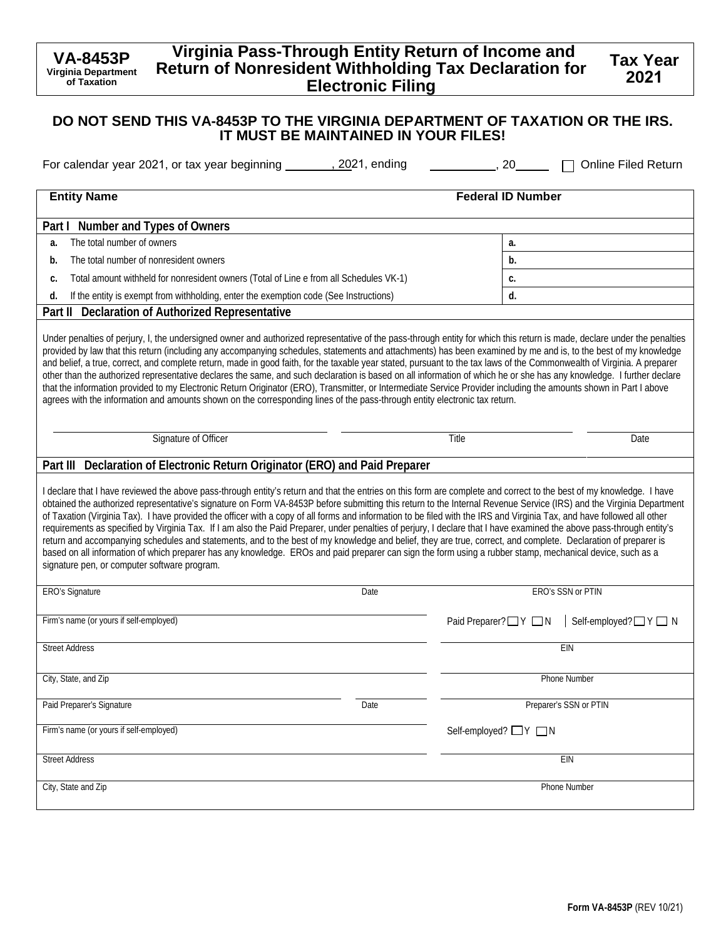#### **VA-8453P Virginia Department of Taxation Virginia Pass-Through Entity Return of Income and Return of Nonresident Withholding Tax Declaration for Electronic Filing**

#### **DO NOT SEND THIS VA-8453P TO THE VIRGINIA DEPARTMENT OF TAXATION OR THE IRS. IT MUST BE MAINTAINED IN YOUR FILES!**

| For calendar year 2021, or tax year beginning ________, 2021, ending                                                                                                                                                                                                                                                                                                                                                                                                                                                                                                                                                                                                                                                                                                                                                                                                                                                                                                                                                                                                           | , 20<br><b>Online Filed Return</b>        |
|--------------------------------------------------------------------------------------------------------------------------------------------------------------------------------------------------------------------------------------------------------------------------------------------------------------------------------------------------------------------------------------------------------------------------------------------------------------------------------------------------------------------------------------------------------------------------------------------------------------------------------------------------------------------------------------------------------------------------------------------------------------------------------------------------------------------------------------------------------------------------------------------------------------------------------------------------------------------------------------------------------------------------------------------------------------------------------|-------------------------------------------|
| <b>Entity Name</b>                                                                                                                                                                                                                                                                                                                                                                                                                                                                                                                                                                                                                                                                                                                                                                                                                                                                                                                                                                                                                                                             | <b>Federal ID Number</b>                  |
| Number and Types of Owners<br>Part I                                                                                                                                                                                                                                                                                                                                                                                                                                                                                                                                                                                                                                                                                                                                                                                                                                                                                                                                                                                                                                           |                                           |
| The total number of owners<br>a.                                                                                                                                                                                                                                                                                                                                                                                                                                                                                                                                                                                                                                                                                                                                                                                                                                                                                                                                                                                                                                               | a.                                        |
| The total number of nonresident owners<br>b.                                                                                                                                                                                                                                                                                                                                                                                                                                                                                                                                                                                                                                                                                                                                                                                                                                                                                                                                                                                                                                   | b.                                        |
| Total amount withheld for nonresident owners (Total of Line e from all Schedules VK-1)<br>c.                                                                                                                                                                                                                                                                                                                                                                                                                                                                                                                                                                                                                                                                                                                                                                                                                                                                                                                                                                                   | c.                                        |
| If the entity is exempt from withholding, enter the exemption code (See Instructions)<br>d.                                                                                                                                                                                                                                                                                                                                                                                                                                                                                                                                                                                                                                                                                                                                                                                                                                                                                                                                                                                    | d.                                        |
| <b>Declaration of Authorized Representative</b><br>Part II                                                                                                                                                                                                                                                                                                                                                                                                                                                                                                                                                                                                                                                                                                                                                                                                                                                                                                                                                                                                                     |                                           |
| Under penalties of perjury, I, the undersigned owner and authorized representative of the pass-through entity for which this return is made, declare under the penalties<br>provided by law that this return (including any accompanying schedules, statements and attachments) has been examined by me and is, to the best of my knowledge<br>and belief, a true, correct, and complete return, made in good faith, for the taxable year stated, pursuant to the tax laws of the Commonwealth of Virginia. A preparer<br>other than the authorized representative declares the same, and such declaration is based on all information of which he or she has any knowledge. I further declare<br>that the information provided to my Electronic Return Originator (ERO), Transmitter, or Intermediate Service Provider including the amounts shown in Part I above<br>agrees with the information and amounts shown on the corresponding lines of the pass-through entity electronic tax return.                                                                              |                                           |
| Signature of Officer                                                                                                                                                                                                                                                                                                                                                                                                                                                                                                                                                                                                                                                                                                                                                                                                                                                                                                                                                                                                                                                           | Title<br>Date                             |
| Part III Declaration of Electronic Return Originator (ERO) and Paid Preparer                                                                                                                                                                                                                                                                                                                                                                                                                                                                                                                                                                                                                                                                                                                                                                                                                                                                                                                                                                                                   |                                           |
| I declare that I have reviewed the above pass-through entity's return and that the entries on this form are complete and correct to the best of my knowledge. I have<br>obtained the authorized representative's signature on Form VA-8453P before submitting this return to the Internal Revenue Service (IRS) and the Virginia Department<br>of Taxation (Virginia Tax). I have provided the officer with a copy of all forms and information to be filed with the IRS and Virginia Tax, and have followed all other<br>requirements as specified by Virginia Tax. If I am also the Paid Preparer, under penalties of perjury, I declare that I have examined the above pass-through entity's<br>return and accompanying schedules and statements, and to the best of my knowledge and belief, they are true, correct, and complete. Declaration of preparer is<br>based on all information of which preparer has any knowledge. EROs and paid preparer can sign the form using a rubber stamp, mechanical device, such as a<br>signature pen, or computer software program. |                                           |
| <b>ERO's Signature</b><br>Date                                                                                                                                                                                                                                                                                                                                                                                                                                                                                                                                                                                                                                                                                                                                                                                                                                                                                                                                                                                                                                                 | ERO's SSN or PTIN                         |
| Firm's name (or yours if self-employed)                                                                                                                                                                                                                                                                                                                                                                                                                                                                                                                                                                                                                                                                                                                                                                                                                                                                                                                                                                                                                                        | Paid Preparer?□Y □N<br>Self-employed?□Y□N |
| <b>Street Address</b>                                                                                                                                                                                                                                                                                                                                                                                                                                                                                                                                                                                                                                                                                                                                                                                                                                                                                                                                                                                                                                                          | EIN                                       |
| City, State, and Zip                                                                                                                                                                                                                                                                                                                                                                                                                                                                                                                                                                                                                                                                                                                                                                                                                                                                                                                                                                                                                                                           | Phone Number                              |
| Paid Preparer's Signature<br>Date                                                                                                                                                                                                                                                                                                                                                                                                                                                                                                                                                                                                                                                                                                                                                                                                                                                                                                                                                                                                                                              | Preparer's SSN or PTIN                    |
| Firm's name (or yours if self-employed)                                                                                                                                                                                                                                                                                                                                                                                                                                                                                                                                                                                                                                                                                                                                                                                                                                                                                                                                                                                                                                        | Self-employed? □ Y □ N                    |
| <b>Street Address</b>                                                                                                                                                                                                                                                                                                                                                                                                                                                                                                                                                                                                                                                                                                                                                                                                                                                                                                                                                                                                                                                          | EIN                                       |
| City, State and Zip                                                                                                                                                                                                                                                                                                                                                                                                                                                                                                                                                                                                                                                                                                                                                                                                                                                                                                                                                                                                                                                            | Phone Number                              |

**Tax Year 2021**